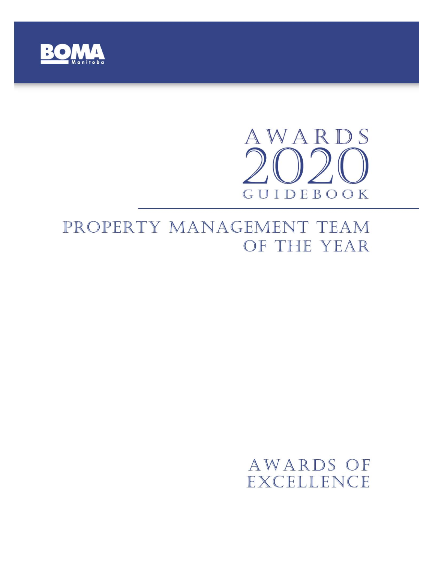

# AWARDS GUIDEBOOK

# PROPERTY MANAGEMENT TEAM OF THE YEAR

# AWARDS OF EXCELLENCE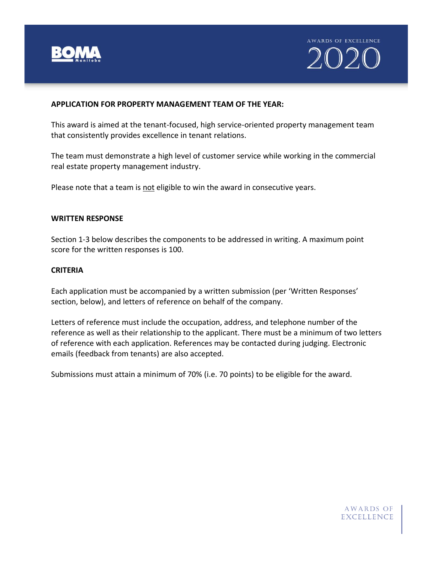



#### **APPLICATION FOR PROPERTY MANAGEMENT TEAM OF THE YEAR:**

This award is aimed at the tenant-focused, high service-oriented property management team that consistently provides excellence in tenant relations.

The team must demonstrate a high level of customer service while working in the commercial real estate property management industry.

Please note that a team is not eligible to win the award in consecutive years.

## **WRITTEN RESPONSE**

Section 1-3 below describes the components to be addressed in writing. A maximum point score for the written responses is 100.

## **CRITERIA**

Each application must be accompanied by a written submission (per 'Written Responses' section, below), and letters of reference on behalf of the company.

Letters of reference must include the occupation, address, and telephone number of the reference as well as their relationship to the applicant. There must be a minimum of two letters of reference with each application. References may be contacted during judging. Electronic emails (feedback from tenants) are also accepted.

Submissions must attain a minimum of 70% (i.e. 70 points) to be eligible for the award.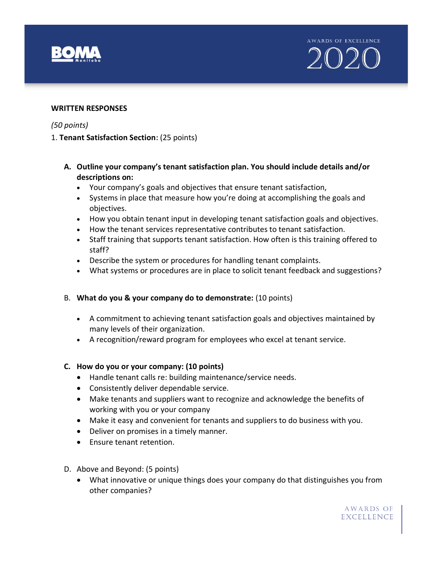

AWARDS OF EXCELLENCE 2020

#### **WRITTEN RESPONSES**

#### *(50 points)*

- 1. **Tenant Satisfaction Section:** (25 points)
	- **A. Outline your company's tenant satisfaction plan. You should include details and/or descriptions on:** 
		- Your company's goals and objectives that ensure tenant satisfaction,
		- Systems in place that measure how you're doing at accomplishing the goals and objectives.
		- How you obtain tenant input in developing tenant satisfaction goals and objectives.
		- How the tenant services representative contributes to tenant satisfaction.
		- Staff training that supports tenant satisfaction. How often is this training offered to staff?
		- Describe the system or procedures for handling tenant complaints.
		- What systems or procedures are in place to solicit tenant feedback and suggestions?

#### B. **What do you & your company do to demonstrate:** (10 points)

- A commitment to achieving tenant satisfaction goals and objectives maintained by many levels of their organization.
- A recognition/reward program for employees who excel at tenant service.

#### **C. How do you or your company: (10 points)**

- Handle tenant calls re: building maintenance/service needs.
- Consistently deliver dependable service.
- Make tenants and suppliers want to recognize and acknowledge the benefits of working with you or your company
- Make it easy and convenient for tenants and suppliers to do business with you.
- Deliver on promises in a timely manner.
- Ensure tenant retention.
- D. Above and Beyond: (5 points)
	- What innovative or unique things does your company do that distinguishes you from other companies?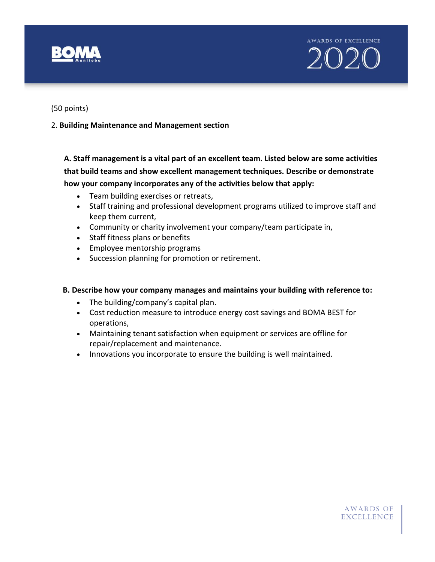AWARDS OF EXCELLENCE 2020

(50 points)

# 2. **Building Maintenance and Management section**

**A. Staff management is a vital part of an excellent team. Listed below are some activities that build teams and show excellent management techniques. Describe or demonstrate how your company incorporates any of the activities below that apply:** 

- Team building exercises or retreats,
- Staff training and professional development programs utilized to improve staff and keep them current,
- Community or charity involvement your company/team participate in,
- Staff fitness plans or benefits
- Employee mentorship programs
- Succession planning for promotion or retirement.

# **B. Describe how your company manages and maintains your building with reference to:**

- The building/company's capital plan.
- Cost reduction measure to introduce energy cost savings and BOMA BEST for operations,
- Maintaining tenant satisfaction when equipment or services are offline for repair/replacement and maintenance.
- Innovations you incorporate to ensure the building is well maintained.